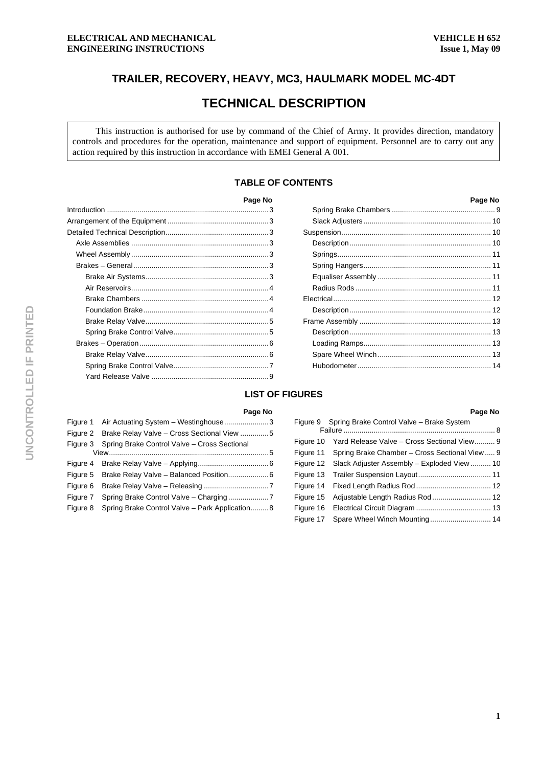## **TRAILER, RECOVERY, HEAVY, MC3, HAULMARK MODEL MC-4DT**

# **TECHNICAL DESCRIPTION**

This instruction is authorised for use by command of the Chief of Army. It provides direction, mandatory controls and procedures for the operation, maintenance and support of equipment. Personnel are to carry out any action required by this instruction in accordance with EMEI General A 001.

### **TABLE OF CONTENTS**

| ı<br>c<br>г<br>ı | w |
|------------------|---|
|------------------|---|

| Page No | Page No |
|---------|---------|
| 3       |         |
| 3       |         |
| . 3     |         |
| 3       |         |
| 3       |         |
| . 3     |         |
| 3       |         |
| . 4     |         |
| . 4     |         |
| . 4     |         |
| . 5     |         |
| . 5     |         |
| . 6     |         |
| . 6     |         |
| . 7     |         |
|         |         |

#### **LIST OF FIGURES**

#### Figure 1 Air Actuating System - Westinghouse.....................3 Figure 2 Brake Relay Valve – Cross Sectional View ..............5 Figure 3 Spring Brake Control Valve – Cross Sectional View...............................................................................5 Figure 4 Brake Relay Valve – Applying...................................6 Figure 5 Brake Relay Valve - Balanced Position........................6 Figure 6 Brake Relay Valve – Releasing ................................7 Figure 7 Spring Brake Control Valve - Charging .....................7 Figure 8 Spring Brake Control Valve – Park Application.........8

| Page No |                                                         | Page No |
|---------|---------------------------------------------------------|---------|
| 3       | Figure 9 Spring Brake Control Valve - Brake System      |         |
| . 5     |                                                         |         |
| ıal     | Figure 10 Yard Release Valve – Cross Sectional View 9   |         |
| 5       | Figure 11 Spring Brake Chamber – Cross Sectional View 9 |         |
| 6       | Figure 12 Slack Adjuster Assembly – Exploded View  10   |         |
| 6       |                                                         |         |
| 7       |                                                         |         |
| 7       |                                                         |         |
| on8     |                                                         |         |
|         | Figure 17 Spare Wheel Winch Mounting 14                 |         |
|         |                                                         |         |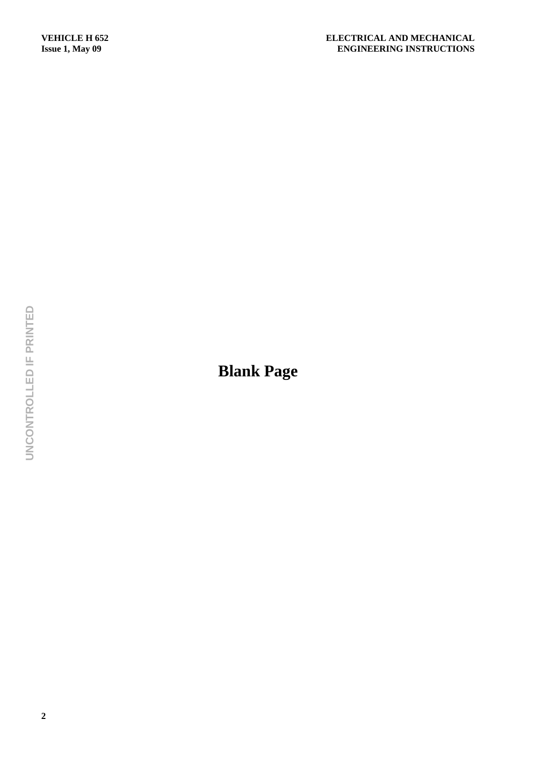# **Blank Page**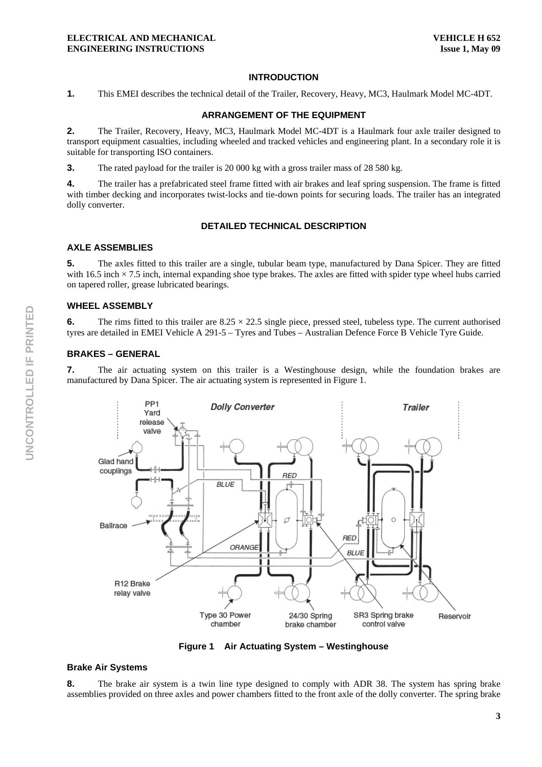#### **INTRODUCTION**

**1.** This EMEI describes the technical detail of the Trailer, Recovery, Heavy, MC3, Haulmark Model MC-4DT.

#### **ARRANGEMENT OF THE EQUIPMENT**

**2.** The Trailer, Recovery, Heavy, MC3, Haulmark Model MC-4DT is a Haulmark four axle trailer designed to transport equipment casualties, including wheeled and tracked vehicles and engineering plant. In a secondary role it is suitable for transporting ISO containers.

**3.** The rated payload for the trailer is 20 000 kg with a gross trailer mass of 28 580 kg.

**4.** The trailer has a prefabricated steel frame fitted with air brakes and leaf spring suspension. The frame is fitted with timber decking and incorporates twist-locks and tie-down points for securing loads. The trailer has an integrated dolly converter.

#### **DETAILED TECHNICAL DESCRIPTION**

#### **AXLE ASSEMBLIES**

**5.** The axles fitted to this trailer are a single, tubular beam type, manufactured by Dana Spicer. They are fitted with 16.5 inch  $\times$  7.5 inch, internal expanding shoe type brakes. The axles are fitted with spider type wheel hubs carried on tapered roller, grease lubricated bearings.

#### **WHEEL ASSEMBLY**

**6.** The rims fitted to this trailer are  $8.25 \times 22.5$  single piece, pressed steel, tubeless type. The current authorised tyres are detailed in EMEI Vehicle A 291-5 – Tyres and Tubes – Australian Defence Force B Vehicle Tyre Guide.

#### **BRAKES – GENERAL**

**7.** The air actuating system on this trailer is a Westinghouse design, while the foundation brakes are manufactured by Dana Spicer. The air actuating system is represented in Figure 1.



**Figure 1 Air Actuating System – Westinghouse** 

#### **Brake Air Systems**

**8.** The brake air system is a twin line type designed to comply with ADR 38. The system has spring brake assemblies provided on three axles and power chambers fitted to the front axle of the dolly converter. The spring brake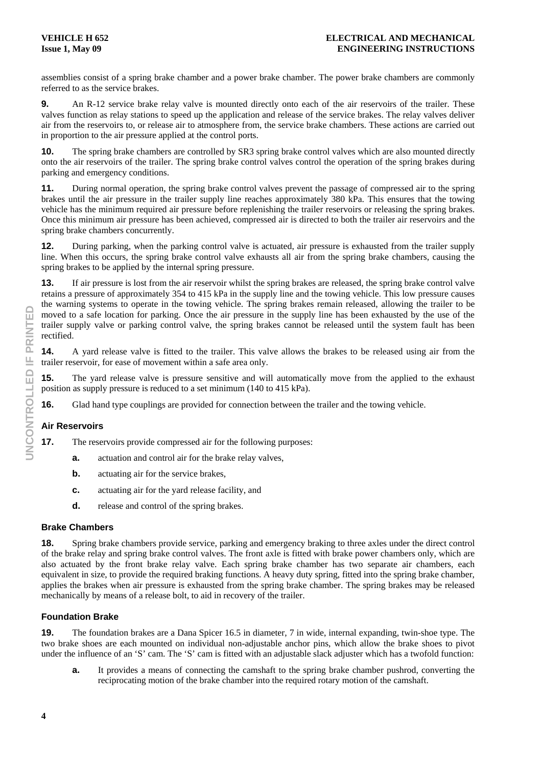#### **VEHICLE H 652 Issue 1, May 09**

#### **ELECTRICAL AND MECHANICAL ENGINEERING INSTRUCTIONS**

assemblies consist of a spring brake chamber and a power brake chamber. The power brake chambers are commonly referred to as the service brakes.

**9.** An R-12 service brake relay valve is mounted directly onto each of the air reservoirs of the trailer. These valves function as relay stations to speed up the application and release of the service brakes. The relay valves deliver air from the reservoirs to, or release air to atmosphere from, the service brake chambers. These actions are carried out in proportion to the air pressure applied at the control ports.

**10.** The spring brake chambers are controlled by SR3 spring brake control valves which are also mounted directly onto the air reservoirs of the trailer. The spring brake control valves control the operation of the spring brakes during parking and emergency conditions.

**11.** During normal operation, the spring brake control valves prevent the passage of compressed air to the spring brakes until the air pressure in the trailer supply line reaches approximately 380 kPa. This ensures that the towing vehicle has the minimum required air pressure before replenishing the trailer reservoirs or releasing the spring brakes. Once this minimum air pressure has been achieved, compressed air is directed to both the trailer air reservoirs and the spring brake chambers concurrently.

**12.** During parking, when the parking control valve is actuated, air pressure is exhausted from the trailer supply line. When this occurs, the spring brake control valve exhausts all air from the spring brake chambers, causing the spring brakes to be applied by the internal spring pressure.

**13.** If air pressure is lost from the air reservoir whilst the spring brakes are released, the spring brake control valve retains a pressure of approximately 354 to 415 kPa in the supply line and the towing vehicle. This low pressure causes the warning systems to operate in the towing vehicle. The spring brakes remain released, allowing the trailer to be moved to a safe location for parking. Once the air pressure in the supply line has been exhausted by the use of the trailer supply valve or parking control valve, the spring brakes cannot be released until the system fault has been rectified.

**14.** A yard release valve is fitted to the trailer. This valve allows the brakes to be released using air from the trailer reservoir, for ease of movement within a safe area only.

**15.** The yard release valve is pressure sensitive and will automatically move from the applied to the exhaust position as supply pressure is reduced to a set minimum (140 to 415 kPa).

**16.** Glad hand type couplings are provided for connection between the trailer and the towing vehicle.

#### **Air Reservoirs**

**17.** The reservoirs provide compressed air for the following purposes:

- **a.** actuation and control air for the brake relay valves,
- **b.** actuating air for the service brakes,
- **c.** actuating air for the yard release facility, and
- **d.** release and control of the spring brakes.

#### **Brake Chambers**

**18.** Spring brake chambers provide service, parking and emergency braking to three axles under the direct control of the brake relay and spring brake control valves. The front axle is fitted with brake power chambers only, which are also actuated by the front brake relay valve. Each spring brake chamber has two separate air chambers, each equivalent in size, to provide the required braking functions. A heavy duty spring, fitted into the spring brake chamber, applies the brakes when air pressure is exhausted from the spring brake chamber. The spring brakes may be released mechanically by means of a release bolt, to aid in recovery of the trailer.

#### **Foundation Brake**

**19.** The foundation brakes are a Dana Spicer 16.5 in diameter, 7 in wide, internal expanding, twin-shoe type. The two brake shoes are each mounted on individual non-adjustable anchor pins, which allow the brake shoes to pivot under the influence of an 'S' cam. The 'S' cam is fitted with an adjustable slack adjuster which has a twofold function:

**a.** It provides a means of connecting the camshaft to the spring brake chamber pushrod, converting the reciprocating motion of the brake chamber into the required rotary motion of the camshaft.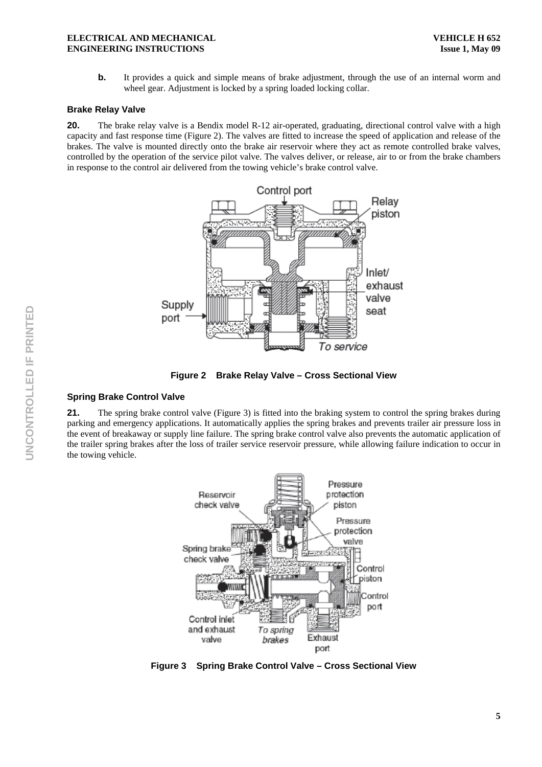**b.** It provides a quick and simple means of brake adjustment, through the use of an internal worm and wheel gear. Adjustment is locked by a spring loaded locking collar.

#### **Brake Relay Valve**

**20.** The brake relay valve is a Bendix model R-12 air-operated, graduating, directional control valve with a high capacity and fast response time (Figure 2). The valves are fitted to increase the speed of application and release of the brakes. The valve is mounted directly onto the brake air reservoir where they act as remote controlled brake valves, controlled by the operation of the service pilot valve. The valves deliver, or release, air to or from the brake chambers in response to the control air delivered from the towing vehicle's brake control valve.



**Figure 2 Brake Relay Valve – Cross Sectional View** 

#### **Spring Brake Control Valve**

**21.** The spring brake control valve (Figure 3) is fitted into the braking system to control the spring brakes during parking and emergency applications. It automatically applies the spring brakes and prevents trailer air pressure loss in the event of breakaway or supply line failure. The spring brake control valve also prevents the automatic application of the trailer spring brakes after the loss of trailer service reservoir pressure, while allowing failure indication to occur in the towing vehicle.



**Figure 3 Spring Brake Control Valve – Cross Sectional View**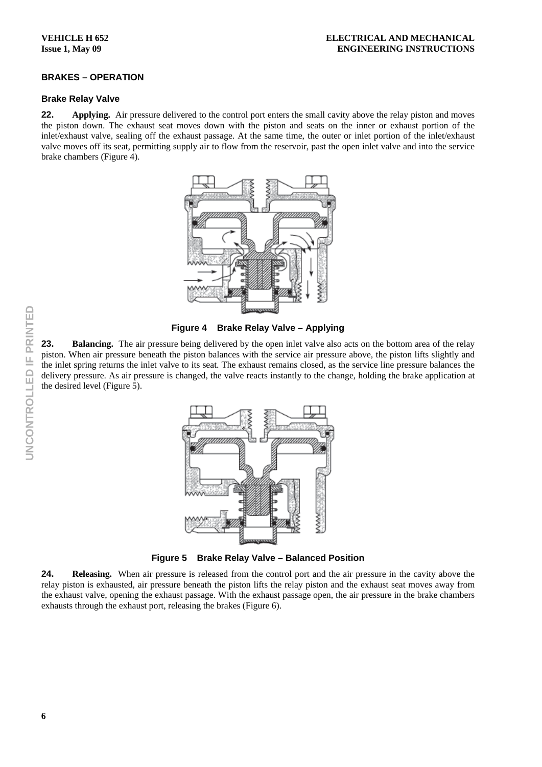#### **BRAKES – OPERATION**

#### **Brake Relay Valve**

**22. Applying.** Air pressure delivered to the control port enters the small cavity above the relay piston and moves the piston down. The exhaust seat moves down with the piston and seats on the inner or exhaust portion of the inlet/exhaust valve, sealing off the exhaust passage. At the same time, the outer or inlet portion of the inlet/exhaust valve moves off its seat, permitting supply air to flow from the reservoir, past the open inlet valve and into the service brake chambers (Figure 4).



**Figure 4 Brake Relay Valve – Applying** 

**23. Balancing.** The air pressure being delivered by the open inlet valve also acts on the bottom area of the relay piston. When air pressure beneath the piston balances with the service air pressure above, the piston lifts slightly and the inlet spring returns the inlet valve to its seat. The exhaust remains closed, as the service line pressure balances the delivery pressure. As air pressure is changed, the valve reacts instantly to the change, holding the brake application at the desired level (Figure 5).



**Figure 5 Brake Relay Valve – Balanced Position** 

**24. Releasing.** When air pressure is released from the control port and the air pressure in the cavity above the relay piston is exhausted, air pressure beneath the piston lifts the relay piston and the exhaust seat moves away from the exhaust valve, opening the exhaust passage. With the exhaust passage open, the air pressure in the brake chambers exhausts through the exhaust port, releasing the brakes (Figure 6).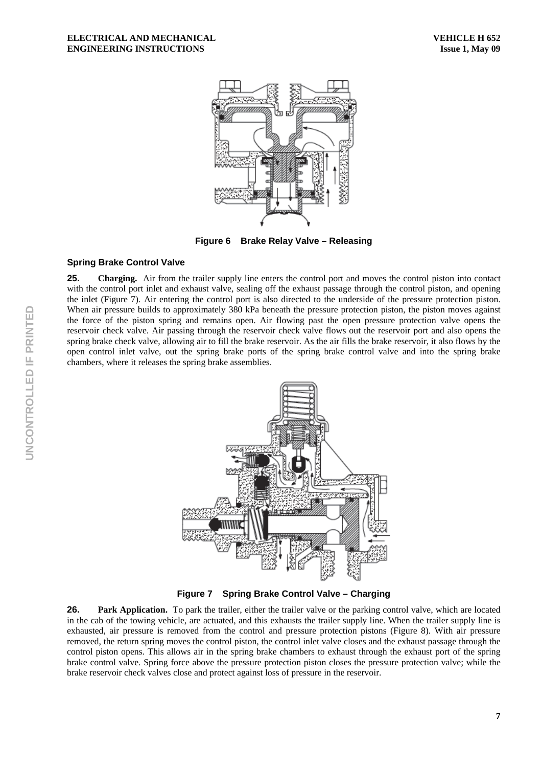

**Figure 6 Brake Relay Valve – Releasing** 

#### **Spring Brake Control Valve**

**25. Charging.** Air from the trailer supply line enters the control port and moves the control piston into contact with the control port inlet and exhaust valve, sealing off the exhaust passage through the control piston, and opening the inlet (Figure 7). Air entering the control port is also directed to the underside of the pressure protection piston. When air pressure builds to approximately 380 kPa beneath the pressure protection piston, the piston moves against the force of the piston spring and remains open. Air flowing past the open pressure protection valve opens the reservoir check valve. Air passing through the reservoir check valve flows out the reservoir port and also opens the spring brake check valve, allowing air to fill the brake reservoir. As the air fills the brake reservoir, it also flows by the open control inlet valve, out the spring brake ports of the spring brake control valve and into the spring brake chambers, where it releases the spring brake assemblies.



**Figure 7 Spring Brake Control Valve – Charging** 

**26. Park Application.** To park the trailer, either the trailer valve or the parking control valve, which are located in the cab of the towing vehicle, are actuated, and this exhausts the trailer supply line. When the trailer supply line is exhausted, air pressure is removed from the control and pressure protection pistons (Figure 8). With air pressure removed, the return spring moves the control piston, the control inlet valve closes and the exhaust passage through the control piston opens. This allows air in the spring brake chambers to exhaust through the exhaust port of the spring brake control valve. Spring force above the pressure protection piston closes the pressure protection valve; while the brake reservoir check valves close and protect against loss of pressure in the reservoir.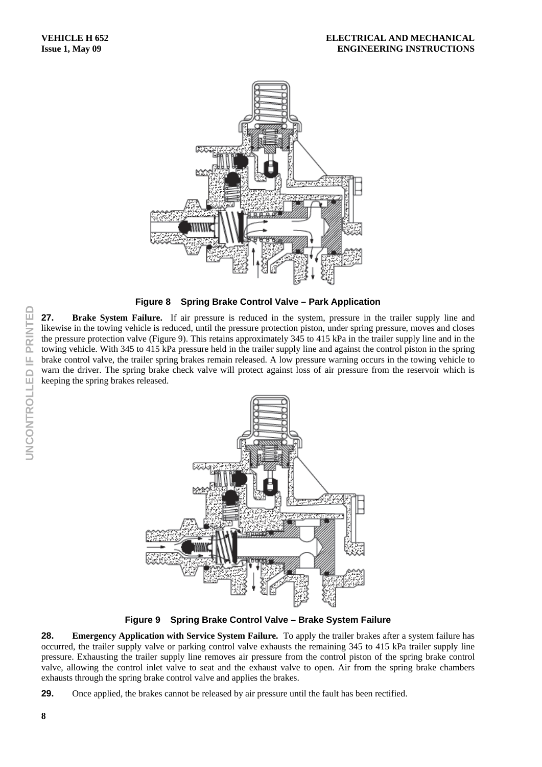

**Figure 8 Spring Brake Control Valve – Park Application** 

**27. Brake System Failure.** If air pressure is reduced in the system, pressure in the trailer supply line and likewise in the towing vehicle is reduced, until the pressure protection piston, under spring pressure, moves and closes the pressure protection valve (Figure 9). This retains approximately 345 to 415 kPa in the trailer supply line and in the towing vehicle. With 345 to 415 kPa pressure held in the trailer supply line and against the control piston in the spring brake control valve, the trailer spring brakes remain released. A low pressure warning occurs in the towing vehicle to warn the driver. The spring brake check valve will protect against loss of air pressure from the reservoir which is keeping the spring brakes released.



**Figure 9 Spring Brake Control Valve – Brake System Failure** 

**28. Emergency Application with Service System Failure.** To apply the trailer brakes after a system failure has occurred, the trailer supply valve or parking control valve exhausts the remaining 345 to 415 kPa trailer supply line pressure. Exhausting the trailer supply line removes air pressure from the control piston of the spring brake control valve, allowing the control inlet valve to seat and the exhaust valve to open. Air from the spring brake chambers exhausts through the spring brake control valve and applies the brakes.

29. Once applied, the brakes cannot be released by air pressure until the fault has been rectified.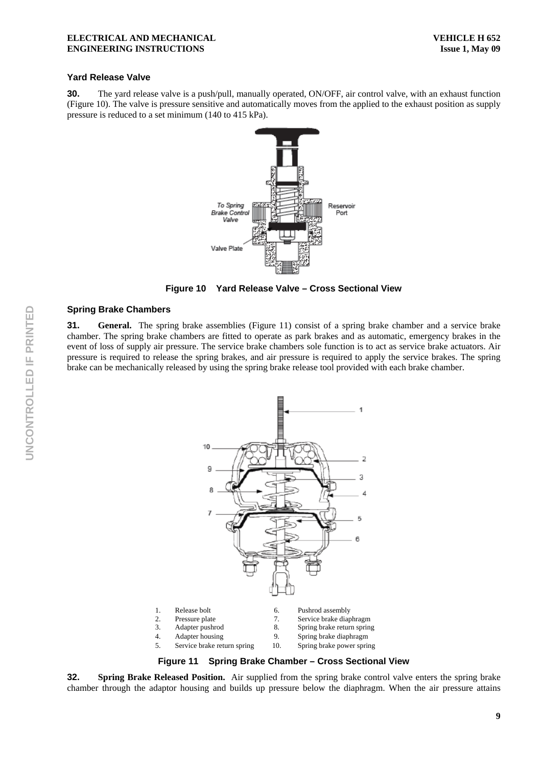#### **Yard Release Valve**

**30.** The yard release valve is a push/pull, manually operated, ON/OFF, air control valve, with an exhaust function (Figure 10). The valve is pressure sensitive and automatically moves from the applied to the exhaust position as supply pressure is reduced to a set minimum (140 to 415 kPa).



**Figure 10 Yard Release Valve – Cross Sectional View** 

#### **Spring Brake Chambers**

**31. General.** The spring brake assemblies (Figure 11) consist of a spring brake chamber and a service brake chamber. The spring brake chambers are fitted to operate as park brakes and as automatic, emergency brakes in the event of loss of supply air pressure. The service brake chambers sole function is to act as service brake actuators. Air pressure is required to release the spring brakes, and air pressure is required to apply the service brakes. The spring brake can be mechanically released by using the spring brake release tool provided with each brake chamber.



**32. Spring Brake Released Position.** Air supplied from the spring brake control valve enters the spring brake chamber through the adaptor housing and builds up pressure below the diaphragm. When the air pressure attains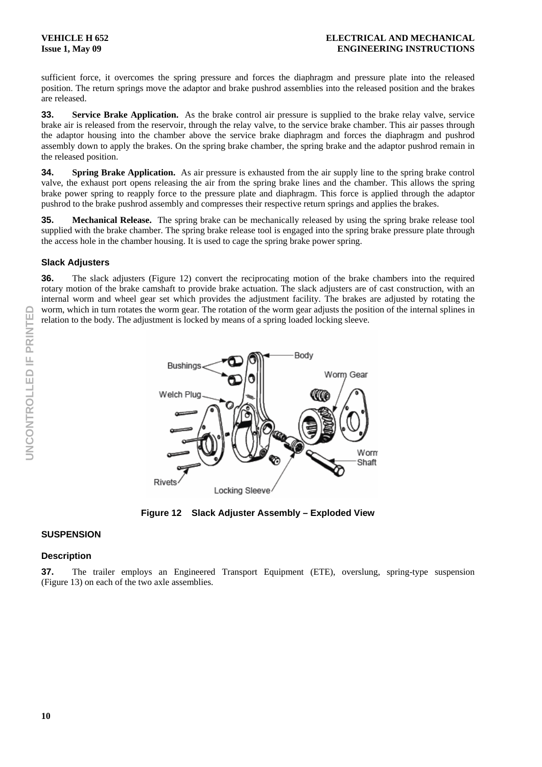#### **VEHICLE H 652 Issue 1, May 09**

sufficient force, it overcomes the spring pressure and forces the diaphragm and pressure plate into the released position. The return springs move the adaptor and brake pushrod assemblies into the released position and the brakes are released.

**33. Service Brake Application.** As the brake control air pressure is supplied to the brake relay valve, service brake air is released from the reservoir, through the relay valve, to the service brake chamber. This air passes through the adaptor housing into the chamber above the service brake diaphragm and forces the diaphragm and pushrod assembly down to apply the brakes. On the spring brake chamber, the spring brake and the adaptor pushrod remain in the released position.

**34. Spring Brake Application.** As air pressure is exhausted from the air supply line to the spring brake control valve, the exhaust port opens releasing the air from the spring brake lines and the chamber. This allows the spring brake power spring to reapply force to the pressure plate and diaphragm. This force is applied through the adaptor pushrod to the brake pushrod assembly and compresses their respective return springs and applies the brakes.

**35. Mechanical Release.** The spring brake can be mechanically released by using the spring brake release tool supplied with the brake chamber. The spring brake release tool is engaged into the spring brake pressure plate through the access hole in the chamber housing. It is used to cage the spring brake power spring.

#### **Slack Adjusters**

**36.** The slack adjusters (Figure 12) convert the reciprocating motion of the brake chambers into the required rotary motion of the brake camshaft to provide brake actuation. The slack adjusters are of cast construction, with an internal worm and wheel gear set which provides the adjustment facility. The brakes are adjusted by rotating the worm, which in turn rotates the worm gear. The rotation of the worm gear adjusts the position of the internal splines in relation to the body. The adjustment is locked by means of a spring loaded locking sleeve.



**Figure 12 Slack Adjuster Assembly – Exploded View** 

#### **SUSPENSION**

#### **Description**

**37.** The trailer employs an Engineered Transport Equipment (ETE), overslung, spring-type suspension (Figure 13) on each of the two axle assemblies.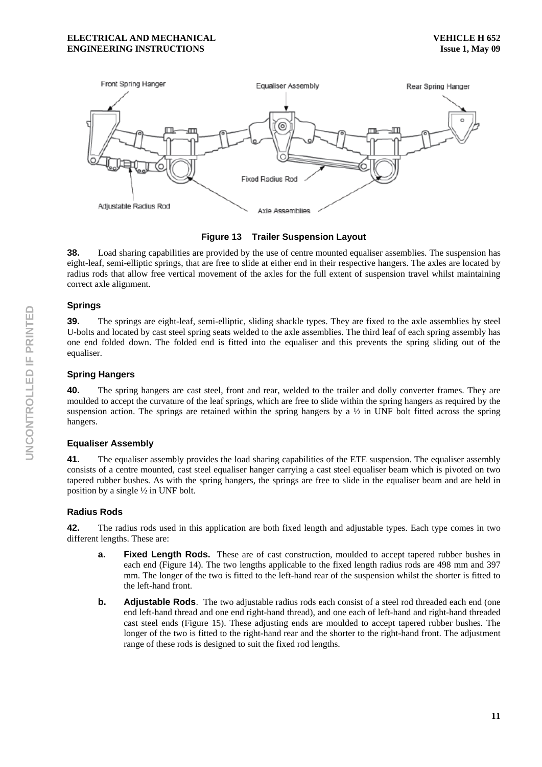

**Figure 13 Trailer Suspension Layout** 

**38.** Load sharing capabilities are provided by the use of centre mounted equaliser assemblies. The suspension has eight-leaf, semi-elliptic springs, that are free to slide at either end in their respective hangers. The axles are located by radius rods that allow free vertical movement of the axles for the full extent of suspension travel whilst maintaining correct axle alignment.

#### **Springs**

**39.** The springs are eight-leaf, semi-elliptic, sliding shackle types. They are fixed to the axle assemblies by steel U-bolts and located by cast steel spring seats welded to the axle assemblies. The third leaf of each spring assembly has one end folded down. The folded end is fitted into the equaliser and this prevents the spring sliding out of the equaliser.

#### **Spring Hangers**

**40.** The spring hangers are cast steel, front and rear, welded to the trailer and dolly converter frames. They are moulded to accept the curvature of the leaf springs, which are free to slide within the spring hangers as required by the suspension action. The springs are retained within the spring hangers by a  $\frac{1}{2}$  in UNF bolt fitted across the spring hangers.

#### **Equaliser Assembly**

**41.** The equaliser assembly provides the load sharing capabilities of the ETE suspension. The equaliser assembly consists of a centre mounted, cast steel equaliser hanger carrying a cast steel equaliser beam which is pivoted on two tapered rubber bushes. As with the spring hangers, the springs are free to slide in the equaliser beam and are held in position by a single ½ in UNF bolt.

#### **Radius Rods**

**42.** The radius rods used in this application are both fixed length and adjustable types. Each type comes in two different lengths. These are:

- **a.** Fixed Length Rods. These are of cast construction, moulded to accept tapered rubber bushes in each end (Figure 14). The two lengths applicable to the fixed length radius rods are 498 mm and 397 mm. The longer of the two is fitted to the left-hand rear of the suspension whilst the shorter is fitted to the left-hand front.
- **b.** Adjustable Rods. The two adjustable radius rods each consist of a steel rod threaded each end (one end left-hand thread and one end right-hand thread), and one each of left-hand and right-hand threaded cast steel ends (Figure 15). These adjusting ends are moulded to accept tapered rubber bushes. The longer of the two is fitted to the right-hand rear and the shorter to the right-hand front. The adjustment range of these rods is designed to suit the fixed rod lengths.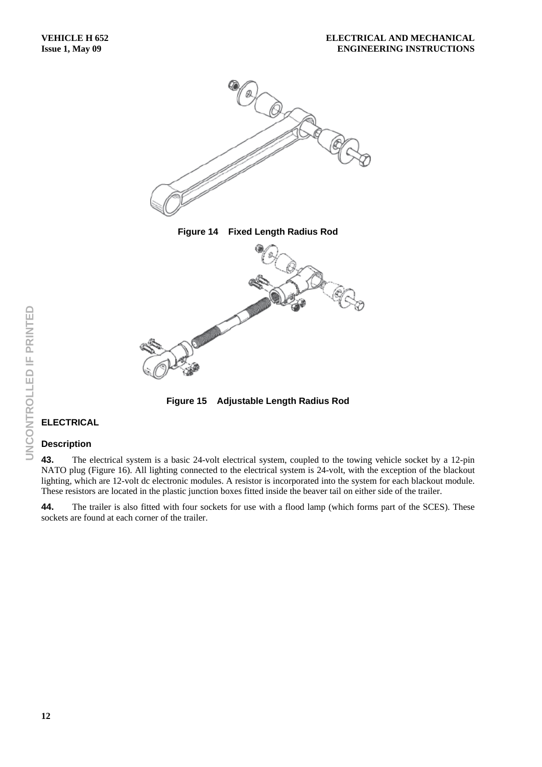

**Figure 14 Fixed Length Radius Rod** 



**Figure 15 Adjustable Length Radius Rod** 

#### **ELECTRICAL**

#### **Description**

**43.** The electrical system is a basic 24-volt electrical system, coupled to the towing vehicle socket by a 12-pin NATO plug (Figure 16). All lighting connected to the electrical system is 24-volt, with the exception of the blackout lighting, which are 12-volt dc electronic modules. A resistor is incorporated into the system for each blackout module. These resistors are located in the plastic junction boxes fitted inside the beaver tail on either side of the trailer.

**44.** The trailer is also fitted with four sockets for use with a flood lamp (which forms part of the SCES). These sockets are found at each corner of the trailer.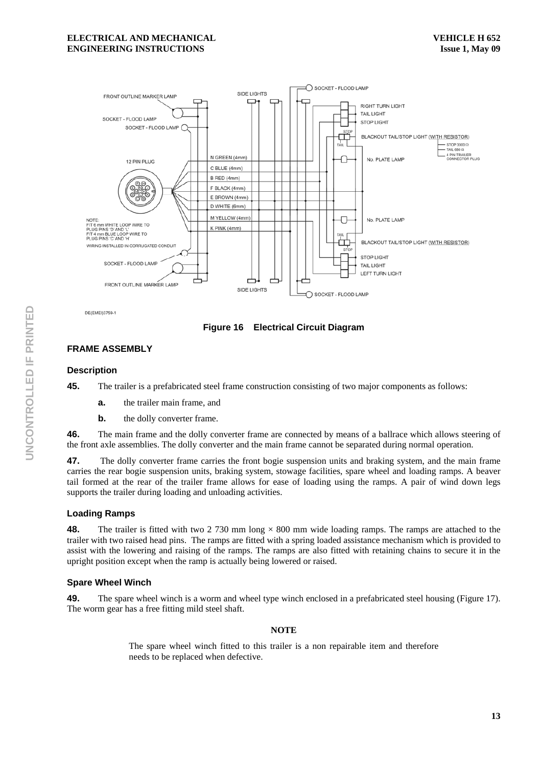

DE(EMEI)3759-1

**Figure 16 Electrical Circuit Diagram** 

#### **FRAME ASSEMBLY**

#### **Description**

**45.** The trailer is a prefabricated steel frame construction consisting of two major components as follows:

- **a.** the trailer main frame, and
- **b.** the dolly converter frame.

**46.** The main frame and the dolly converter frame are connected by means of a ballrace which allows steering of the front axle assemblies. The dolly converter and the main frame cannot be separated during normal operation.

**47.** The dolly converter frame carries the front bogie suspension units and braking system, and the main frame carries the rear bogie suspension units, braking system, stowage facilities, spare wheel and loading ramps. A beaver tail formed at the rear of the trailer frame allows for ease of loading using the ramps. A pair of wind down legs supports the trailer during loading and unloading activities.

#### **Loading Ramps**

**48.** The trailer is fitted with two 2 730 mm long  $\times$  800 mm wide loading ramps. The ramps are attached to the trailer with two raised head pins. The ramps are fitted with a spring loaded assistance mechanism which is provided to assist with the lowering and raising of the ramps. The ramps are also fitted with retaining chains to secure it in the upright position except when the ramp is actually being lowered or raised.

#### **Spare Wheel Winch**

**49.** The spare wheel winch is a worm and wheel type winch enclosed in a prefabricated steel housing (Figure 17). The worm gear has a free fitting mild steel shaft.

#### **NOTE**

The spare wheel winch fitted to this trailer is a non repairable item and therefore needs to be replaced when defective.